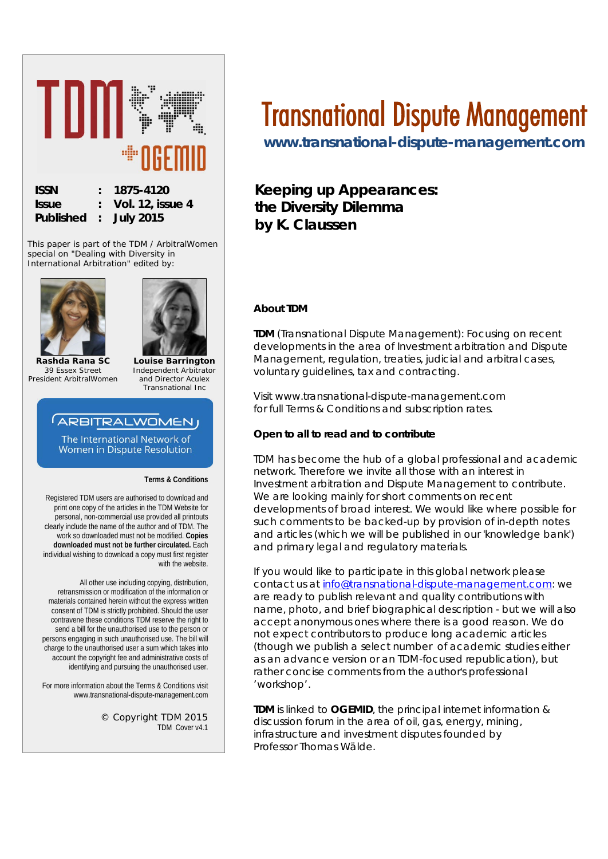

This paper is part of the TDM / ArbitralWomen special on "*Dealing with Diversity in International Arbitration*" edited by:





**Rashda Rana SC** *39 Essex Street President ArbitralWomen* **Louise Barrington** *Independent Arbitrator and Director Aculex Transnational Inc*

# **ARBITRALWOMENJ**

The International Network of Women in Dispute Resolution

**Terms & Conditions**

Registered TDM users are authorised to download and print one copy of the articles in the TDM Website for personal, non-commercial use provided all printouts clearly include the name of the author and of TDM. The work so downloaded must not be modified. **Copies downloaded must not be further circulated.** Each individual wishing to download a copy must first register with the website.

All other use including copying, distribution, retransmission or modification of the information or materials contained herein without the express written consent of TDM is strictly prohibited. Should the user contravene these conditions TDM reserve the right to send a bill for the unauthorised use to the person or persons engaging in such unauthorised use. The bill will charge to the unauthorised user a sum which takes into account the copyright fee and administrative costs of identifying and pursuing the unauthorised user.

For more information about the Terms & Conditions visit www.transnational-dispute-management.com

> © Copyright TDM 2015 TDM Cover v4.1

# Transnational Dispute Management

**[www.transnational-dispute-management.com](http://www.transnational-dispute-management.com/)** 

**Keeping up Appearances: the Diversity Dilemma by K. Claussen**

# **About TDM**

**TDM** (Transnational Dispute Management): Focusing on recent developments in the area of Investment arbitration and Dispute Management, regulation, treaties, judicial and arbitral cases, voluntary guidelines, tax and contracting.

Visit www.transnational-dispute-management.com for full Terms & Conditions and subscription rates.

## **Open to all to read and to contribute**

TDM has become the hub of a global professional and academic network. Therefore we invite all those with an interest in Investment arbitration and Dispute Management to contribute. We are looking mainly for short comments on recent developments of broad interest. We would like where possible for such comments to be backed-up by provision of in-depth notes and articles (which we will be published in our 'knowledge bank') and primary legal and regulatory materials.

If you would like to participate in this global network please contact us at [info@transnational-dispute-management.com:](mailto:info@transnational-dispute-management.com) we are ready to publish relevant and quality contributions with name, photo, and brief biographical description - but we will also accept anonymous ones where there is a good reason. We do not expect contributors to produce long academic articles (though we publish a select number of academic studies either as an advance version or an TDM-focused republication), but rather concise comments from the author's professional 'workshop'.

**TDM** is linked to **OGEMID**, the principal internet information & discussion forum in the area of oil, gas, energy, mining, infrastructure and investment disputes founded by Professor Thomas Wälde.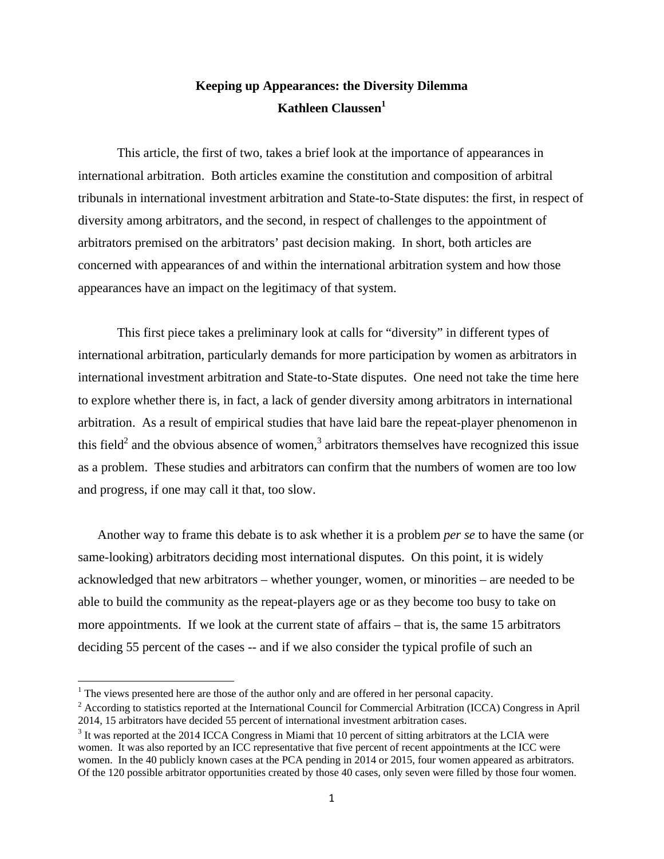# **Keeping up Appearances: the Diversity Dilemma Kathleen Claussen**<sup>1</sup>

This article, the first of two, takes a brief look at the importance of appearances in international arbitration. Both articles examine the constitution and composition of arbitral tribunals in international investment arbitration and State-to-State disputes: the first, in respect of diversity among arbitrators, and the second, in respect of challenges to the appointment of arbitrators premised on the arbitrators' past decision making. In short, both articles are concerned with appearances of and within the international arbitration system and how those appearances have an impact on the legitimacy of that system.

This first piece takes a preliminary look at calls for "diversity" in different types of international arbitration, particularly demands for more participation by women as arbitrators in international investment arbitration and State-to-State disputes. One need not take the time here to explore whether there is, in fact, a lack of gender diversity among arbitrators in international arbitration. As a result of empirical studies that have laid bare the repeat-player phenomenon in this field<sup>2</sup> and the obvious absence of women,<sup>3</sup> arbitrators themselves have recognized this issue as a problem. These studies and arbitrators can confirm that the numbers of women are too low and progress, if one may call it that, too slow.

Another way to frame this debate is to ask whether it is a problem *per se* to have the same (or same-looking) arbitrators deciding most international disputes. On this point, it is widely acknowledged that new arbitrators – whether younger, women, or minorities – are needed to be able to build the community as the repeat-players age or as they become too busy to take on more appointments. If we look at the current state of affairs – that is, the same 15 arbitrators deciding 55 percent of the cases -- and if we also consider the typical profile of such an

<sup>&</sup>lt;sup>1</sup> The views presented here are those of the author only and are offered in her personal capacity.

 $2$  According to statistics reported at the International Council for Commercial Arbitration (ICCA) Congress in April 2014, 15 arbitrators have decided 55 percent of international investment arbitration cases.

 $3$  It was reported at the 2014 ICCA Congress in Miami that 10 percent of sitting arbitrators at the LCIA were women. It was also reported by an ICC representative that five percent of recent appointments at the ICC were women. In the 40 publicly known cases at the PCA pending in 2014 or 2015, four women appeared as arbitrators. Of the 120 possible arbitrator opportunities created by those 40 cases, only seven were filled by those four women.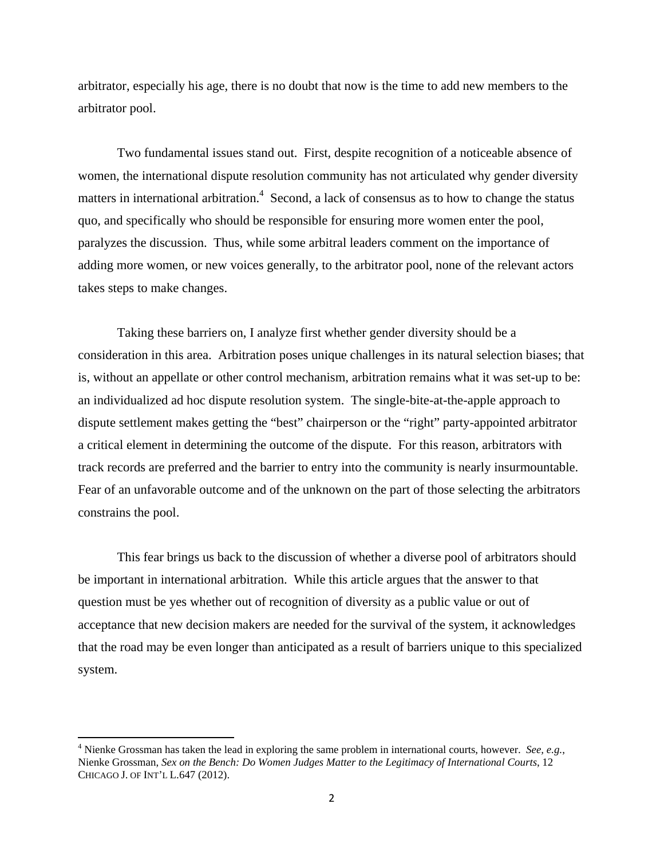arbitrator, especially his age, there is no doubt that now is the time to add new members to the arbitrator pool.

Two fundamental issues stand out. First, despite recognition of a noticeable absence of women, the international dispute resolution community has not articulated why gender diversity matters in international arbitration.<sup>4</sup> Second, a lack of consensus as to how to change the status quo, and specifically who should be responsible for ensuring more women enter the pool, paralyzes the discussion. Thus, while some arbitral leaders comment on the importance of adding more women, or new voices generally, to the arbitrator pool, none of the relevant actors takes steps to make changes.

Taking these barriers on, I analyze first whether gender diversity should be a consideration in this area. Arbitration poses unique challenges in its natural selection biases; that is, without an appellate or other control mechanism, arbitration remains what it was set-up to be: an individualized ad hoc dispute resolution system. The single-bite-at-the-apple approach to dispute settlement makes getting the "best" chairperson or the "right" party-appointed arbitrator a critical element in determining the outcome of the dispute. For this reason, arbitrators with track records are preferred and the barrier to entry into the community is nearly insurmountable. Fear of an unfavorable outcome and of the unknown on the part of those selecting the arbitrators constrains the pool.

This fear brings us back to the discussion of whether a diverse pool of arbitrators should be important in international arbitration. While this article argues that the answer to that question must be yes whether out of recognition of diversity as a public value or out of acceptance that new decision makers are needed for the survival of the system, it acknowledges that the road may be even longer than anticipated as a result of barriers unique to this specialized system.

<sup>4</sup> Nienke Grossman has taken the lead in exploring the same problem in international courts, however. *See, e.g.*, Nienke Grossman, *Sex on the Bench: Do Women Judges Matter to the Legitimacy of International Courts*, 12 CHICAGO J. OF INT'L L.647 (2012).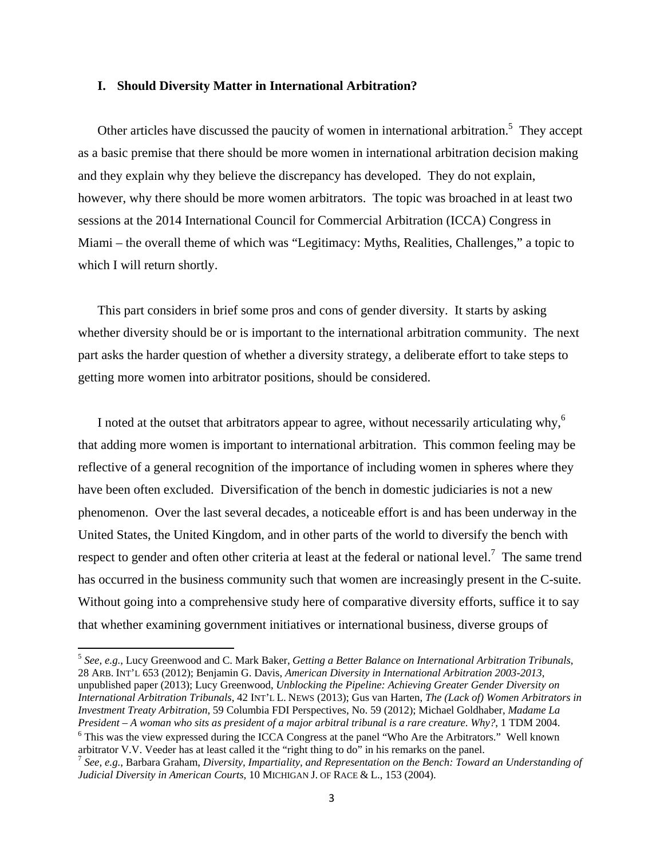### **I. Should Diversity Matter in International Arbitration?**

Other articles have discussed the paucity of women in international arbitration.<sup>5</sup> They accept as a basic premise that there should be more women in international arbitration decision making and they explain why they believe the discrepancy has developed. They do not explain, however, why there should be more women arbitrators. The topic was broached in at least two sessions at the 2014 International Council for Commercial Arbitration (ICCA) Congress in Miami – the overall theme of which was "Legitimacy: Myths, Realities, Challenges," a topic to which I will return shortly.

This part considers in brief some pros and cons of gender diversity. It starts by asking whether diversity should be or is important to the international arbitration community. The next part asks the harder question of whether a diversity strategy, a deliberate effort to take steps to getting more women into arbitrator positions, should be considered.

I noted at the outset that arbitrators appear to agree, without necessarily articulating why,6 that adding more women is important to international arbitration. This common feeling may be reflective of a general recognition of the importance of including women in spheres where they have been often excluded. Diversification of the bench in domestic judiciaries is not a new phenomenon. Over the last several decades, a noticeable effort is and has been underway in the United States, the United Kingdom, and in other parts of the world to diversify the bench with respect to gender and often other criteria at least at the federal or national level.<sup>7</sup> The same trend has occurred in the business community such that women are increasingly present in the C-suite. Without going into a comprehensive study here of comparative diversity efforts, suffice it to say that whether examining government initiatives or international business, diverse groups of

<sup>5</sup> *See, e.g.*, Lucy Greenwood and C. Mark Baker, *Getting a Better Balance on International Arbitration Tribunals*, 28 ARB. INT'L 653 (2012); Benjamin G. Davis, *American Diversity in International Arbitration 2003-2013*, unpublished paper (2013); Lucy Greenwood, *Unblocking the Pipeline: Achieving Greater Gender Diversity on International Arbitration Tribunals*, 42 INT'L L. NEWS (2013); Gus van Harten, *The (Lack of) Women Arbitrators in Investment Treaty Arbitration*, 59 Columbia FDI Perspectives, No. 59 (2012); Michael Goldhaber, *Madame La President – A woman who sits as president of a major arbitral tribunal is a rare creature*. *Why?*, 1 TDM 2004. 6

 $6$  This was the view expressed during the ICCA Congress at the panel "Who Are the Arbitrators." Well known arbitrator V.V. Veeder has at least called it the "right thing to do" in his remarks on the panel.

<sup>&</sup>lt;sup>7</sup> See, e.g., Barbara Graham, Diversity, Impartiality, and Representation on the Bench: Toward an Understanding of *Judicial Diversity in American Courts*, 10 MICHIGAN J. OF RACE & L., 153 (2004).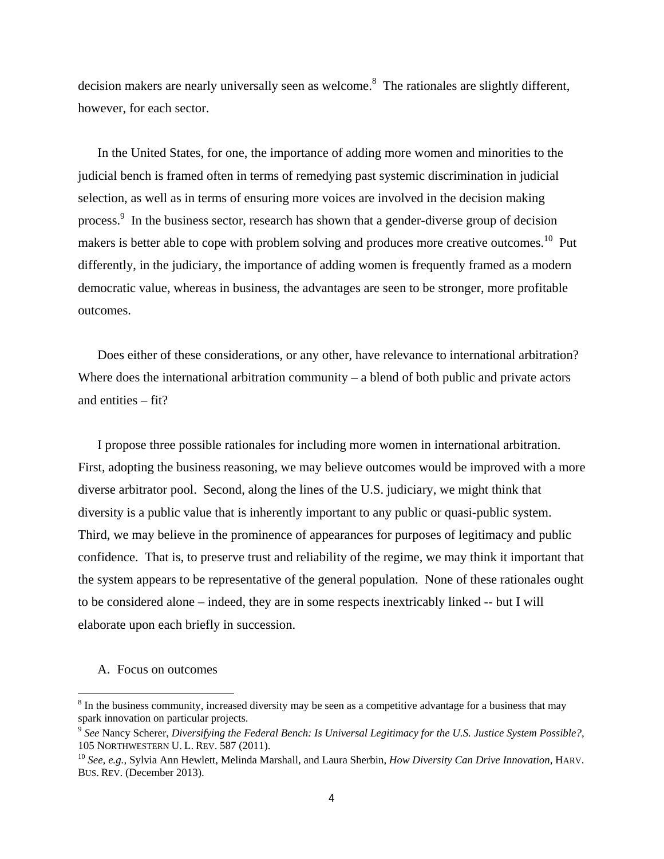decision makers are nearly universally seen as welcome.<sup>8</sup> The rationales are slightly different, however, for each sector.

In the United States, for one, the importance of adding more women and minorities to the judicial bench is framed often in terms of remedying past systemic discrimination in judicial selection, as well as in terms of ensuring more voices are involved in the decision making process.<sup>9</sup> In the business sector, research has shown that a gender-diverse group of decision makers is better able to cope with problem solving and produces more creative outcomes.<sup>10</sup> Put differently, in the judiciary, the importance of adding women is frequently framed as a modern democratic value, whereas in business, the advantages are seen to be stronger, more profitable outcomes.

Does either of these considerations, or any other, have relevance to international arbitration? Where does the international arbitration community  $-$  a blend of both public and private actors and entities  $- fit?$ 

I propose three possible rationales for including more women in international arbitration. First, adopting the business reasoning, we may believe outcomes would be improved with a more diverse arbitrator pool. Second, along the lines of the U.S. judiciary, we might think that diversity is a public value that is inherently important to any public or quasi-public system. Third, we may believe in the prominence of appearances for purposes of legitimacy and public confidence. That is, to preserve trust and reliability of the regime, we may think it important that the system appears to be representative of the general population. None of these rationales ought to be considered alone – indeed, they are in some respects inextricably linked -- but I will elaborate upon each briefly in succession.

#### A. Focus on outcomes

 $8 \text{ In the business community, increased diversity may be seen as a competitive advantage for a business that may.}$ spark innovation on particular projects.

<sup>9</sup> *See* Nancy Scherer, *Diversifying the Federal Bench: Is Universal Legitimacy for the U.S. Justice System Possible?*,

<sup>&</sup>lt;sup>10</sup> See, e.g., Sylvia Ann Hewlett, Melinda Marshall, and Laura Sherbin, *How Diversity Can Drive Innovation*, HARV. BUS. REV. (December 2013).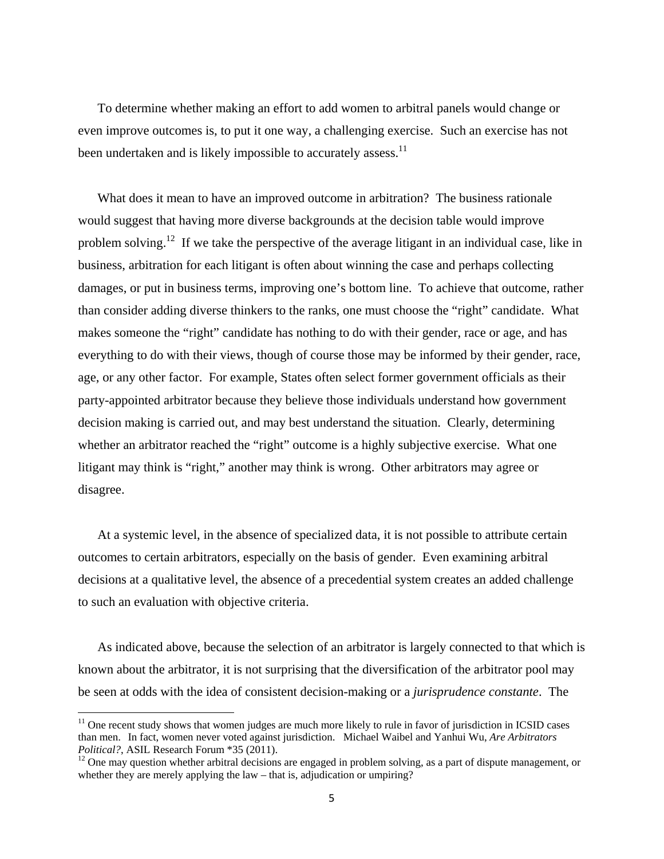To determine whether making an effort to add women to arbitral panels would change or even improve outcomes is, to put it one way, a challenging exercise. Such an exercise has not been undertaken and is likely impossible to accurately assess.<sup>11</sup>

What does it mean to have an improved outcome in arbitration? The business rationale would suggest that having more diverse backgrounds at the decision table would improve problem solving.12 If we take the perspective of the average litigant in an individual case, like in business, arbitration for each litigant is often about winning the case and perhaps collecting damages, or put in business terms, improving one's bottom line. To achieve that outcome, rather than consider adding diverse thinkers to the ranks, one must choose the "right" candidate. What makes someone the "right" candidate has nothing to do with their gender, race or age, and has everything to do with their views, though of course those may be informed by their gender, race, age, or any other factor. For example, States often select former government officials as their party-appointed arbitrator because they believe those individuals understand how government decision making is carried out, and may best understand the situation. Clearly, determining whether an arbitrator reached the "right" outcome is a highly subjective exercise. What one litigant may think is "right," another may think is wrong. Other arbitrators may agree or disagree.

At a systemic level, in the absence of specialized data, it is not possible to attribute certain outcomes to certain arbitrators, especially on the basis of gender. Even examining arbitral decisions at a qualitative level, the absence of a precedential system creates an added challenge to such an evaluation with objective criteria.

As indicated above, because the selection of an arbitrator is largely connected to that which is known about the arbitrator, it is not surprising that the diversification of the arbitrator pool may be seen at odds with the idea of consistent decision-making or a *jurisprudence constante*. The

 $11$  One recent study shows that women judges are much more likely to rule in favor of jurisdiction in ICSID cases than men. In fact, women never voted against jurisdiction. Michael Waibel and Yanhui Wu, *Are Arbitrators* 

<sup>&</sup>lt;sup>12</sup> One may question whether arbitral decisions are engaged in problem solving, as a part of dispute management, or whether they are merely applying the law – that is, adjudication or umpiring?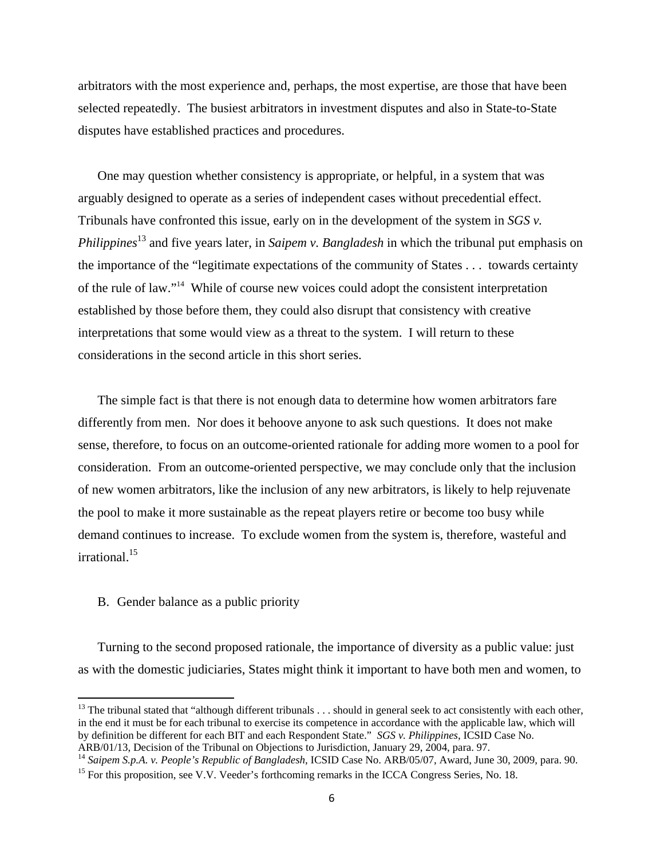arbitrators with the most experience and, perhaps, the most expertise, are those that have been selected repeatedly. The busiest arbitrators in investment disputes and also in State-to-State disputes have established practices and procedures.

One may question whether consistency is appropriate, or helpful, in a system that was arguably designed to operate as a series of independent cases without precedential effect. Tribunals have confronted this issue, early on in the development of the system in *SGS v. Philippines*<sup>13</sup> and five years later, in *Saipem v. Bangladesh* in which the tribunal put emphasis on the importance of the "legitimate expectations of the community of States . . . towards certainty of the rule of law."14 While of course new voices could adopt the consistent interpretation established by those before them, they could also disrupt that consistency with creative interpretations that some would view as a threat to the system. I will return to these considerations in the second article in this short series.

The simple fact is that there is not enough data to determine how women arbitrators fare differently from men. Nor does it behoove anyone to ask such questions. It does not make sense, therefore, to focus on an outcome-oriented rationale for adding more women to a pool for consideration. From an outcome-oriented perspective, we may conclude only that the inclusion of new women arbitrators, like the inclusion of any new arbitrators, is likely to help rejuvenate the pool to make it more sustainable as the repeat players retire or become too busy while demand continues to increase. To exclude women from the system is, therefore, wasteful and irrational.15

## B. Gender balance as a public priority

Turning to the second proposed rationale, the importance of diversity as a public value: just as with the domestic judiciaries, States might think it important to have both men and women, to

 $13$  The tribunal stated that "although different tribunals  $\dots$  should in general seek to act consistently with each other, in the end it must be for each tribunal to exercise its competence in accordance with the applicable law, which will by definition be different for each BIT and each Respondent State." *SGS v. Philippines*, ICSID Case No. ARB/01/13, Decision of the Tribunal on Objections to Jurisdiction, January 29, 2004, para. 97.

<sup>&</sup>lt;sup>14</sup> *Saipem S.p.A. v. People's Republic of Bangladesh*, ICSID Case No. ARB/05/07, Award, June 30, 2009, para. 90. <sup>15</sup> For this proposition, see V.V. Veeder's forthcoming remarks in the ICCA Congress Series, No. 18.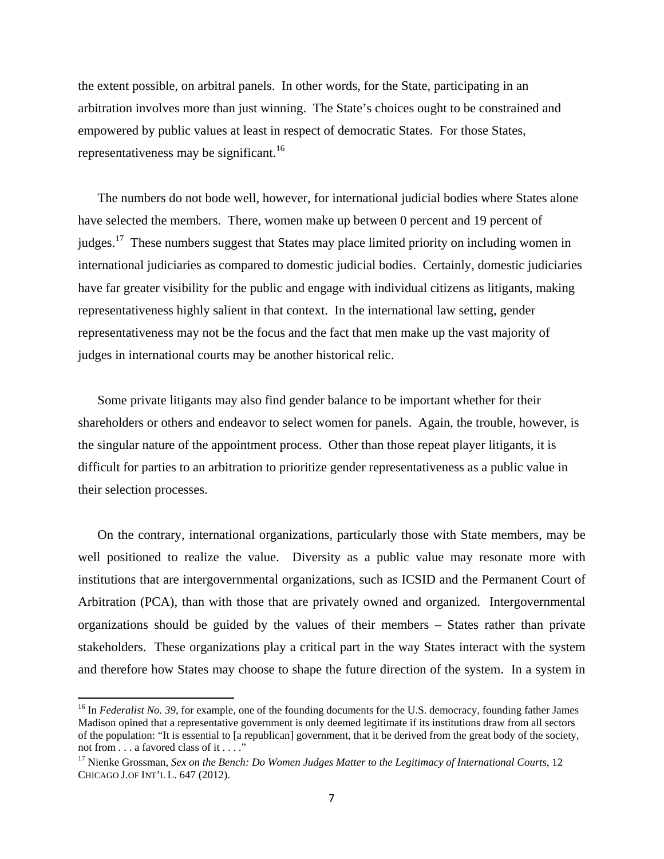the extent possible, on arbitral panels. In other words, for the State, participating in an arbitration involves more than just winning. The State's choices ought to be constrained and empowered by public values at least in respect of democratic States. For those States, representativeness may be significant.<sup>16</sup>

The numbers do not bode well, however, for international judicial bodies where States alone have selected the members. There, women make up between 0 percent and 19 percent of iudges.<sup>17</sup> These numbers suggest that States may place limited priority on including women in international judiciaries as compared to domestic judicial bodies. Certainly, domestic judiciaries have far greater visibility for the public and engage with individual citizens as litigants, making representativeness highly salient in that context. In the international law setting, gender representativeness may not be the focus and the fact that men make up the vast majority of judges in international courts may be another historical relic.

Some private litigants may also find gender balance to be important whether for their shareholders or others and endeavor to select women for panels. Again, the trouble, however, is the singular nature of the appointment process. Other than those repeat player litigants, it is difficult for parties to an arbitration to prioritize gender representativeness as a public value in their selection processes.

On the contrary, international organizations, particularly those with State members, may be well positioned to realize the value. Diversity as a public value may resonate more with institutions that are intergovernmental organizations, such as ICSID and the Permanent Court of Arbitration (PCA), than with those that are privately owned and organized. Intergovernmental organizations should be guided by the values of their members – States rather than private stakeholders. These organizations play a critical part in the way States interact with the system and therefore how States may choose to shape the future direction of the system. In a system in

<sup>&</sup>lt;sup>16</sup> In *Federalist No.* 39, for example, one of the founding documents for the U.S. democracy, founding father James Madison opined that a representative government is only deemed legitimate if its institutions draw from all sectors of the population: "It is essential to [a republican] government, that it be derived from the great body of the society, not from . . . a favored class of it . . . ."

<sup>&</sup>lt;sup>17</sup> Nienke Grossman, *Sex on the Bench: Do Women Judges Matter to the Legitimacy of International Courts*, 12 CHICAGO J.OF INT'L L. 647 (2012).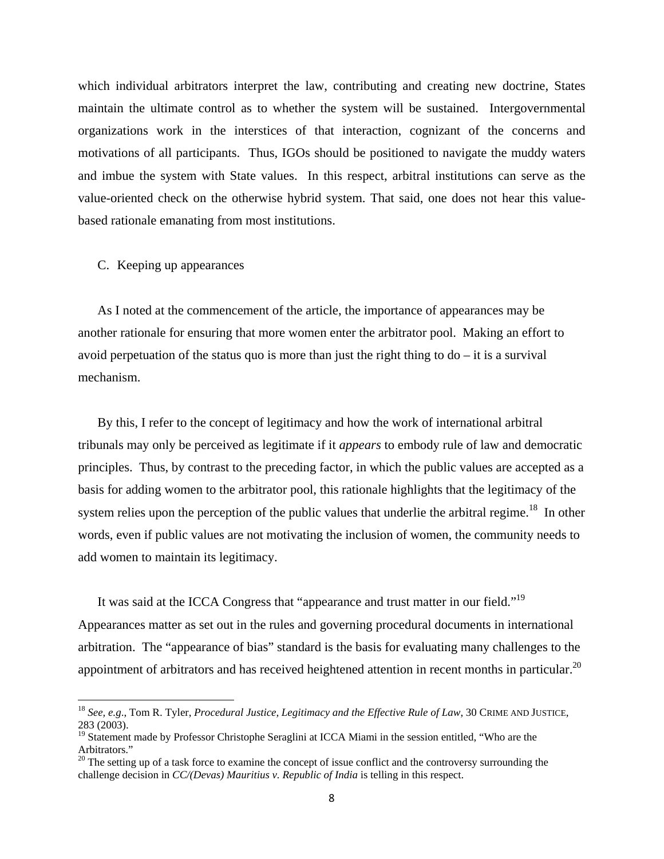which individual arbitrators interpret the law, contributing and creating new doctrine, States maintain the ultimate control as to whether the system will be sustained. Intergovernmental organizations work in the interstices of that interaction, cognizant of the concerns and motivations of all participants. Thus, IGOs should be positioned to navigate the muddy waters and imbue the system with State values. In this respect, arbitral institutions can serve as the value-oriented check on the otherwise hybrid system. That said, one does not hear this valuebased rationale emanating from most institutions.

## C. Keeping up appearances

As I noted at the commencement of the article, the importance of appearances may be another rationale for ensuring that more women enter the arbitrator pool. Making an effort to avoid perpetuation of the status quo is more than just the right thing to  $d\sigma - i\tau$  is a survival mechanism.

By this, I refer to the concept of legitimacy and how the work of international arbitral tribunals may only be perceived as legitimate if it *appears* to embody rule of law and democratic principles. Thus, by contrast to the preceding factor, in which the public values are accepted as a basis for adding women to the arbitrator pool, this rationale highlights that the legitimacy of the system relies upon the perception of the public values that underlie the arbitral regime.<sup>18</sup> In other words, even if public values are not motivating the inclusion of women, the community needs to add women to maintain its legitimacy.

It was said at the ICCA Congress that "appearance and trust matter in our field."<sup>19</sup> Appearances matter as set out in the rules and governing procedural documents in international arbitration. The "appearance of bias" standard is the basis for evaluating many challenges to the appointment of arbitrators and has received heightened attention in recent months in particular.<sup>20</sup>

<sup>18</sup> *See, e.g*., Tom R. Tyler, *Procedural Justice, Legitimacy and the Effective Rule of Law*, 30 CRIME AND JUSTICE, 283 (2003).

<sup>&</sup>lt;sup>19</sup> Statement made by Professor Christophe Seraglini at ICCA Miami in the session entitled, "Who are the Arbitrators."

 $20$  The setting up of a task force to examine the concept of issue conflict and the controversy surrounding the challenge decision in *CC/(Devas) Mauritius v. Republic of India* is telling in this respect.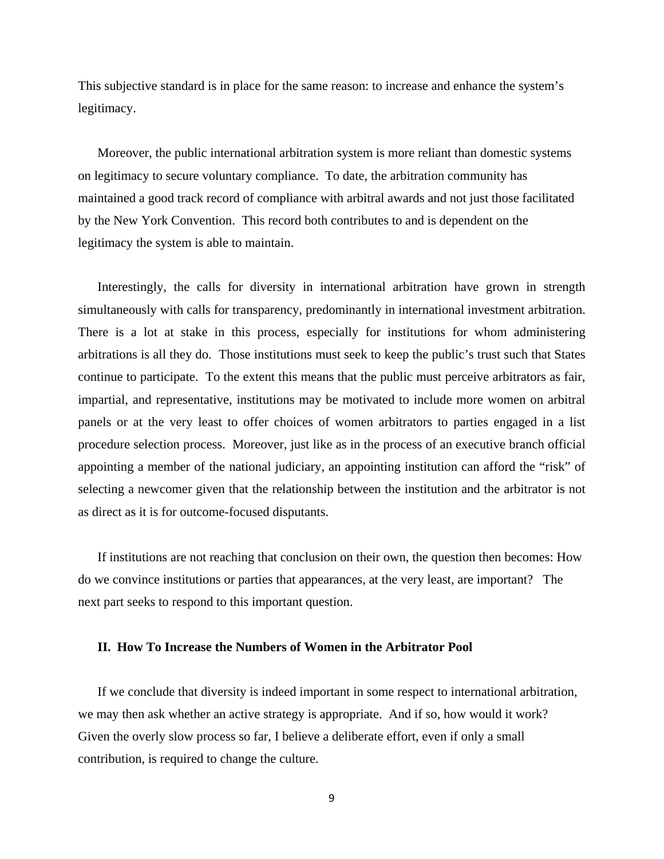This subjective standard is in place for the same reason: to increase and enhance the system's legitimacy.

Moreover, the public international arbitration system is more reliant than domestic systems on legitimacy to secure voluntary compliance. To date, the arbitration community has maintained a good track record of compliance with arbitral awards and not just those facilitated by the New York Convention. This record both contributes to and is dependent on the legitimacy the system is able to maintain.

Interestingly, the calls for diversity in international arbitration have grown in strength simultaneously with calls for transparency, predominantly in international investment arbitration. There is a lot at stake in this process, especially for institutions for whom administering arbitrations is all they do. Those institutions must seek to keep the public's trust such that States continue to participate. To the extent this means that the public must perceive arbitrators as fair, impartial, and representative, institutions may be motivated to include more women on arbitral panels or at the very least to offer choices of women arbitrators to parties engaged in a list procedure selection process. Moreover, just like as in the process of an executive branch official appointing a member of the national judiciary, an appointing institution can afford the "risk" of selecting a newcomer given that the relationship between the institution and the arbitrator is not as direct as it is for outcome-focused disputants.

If institutions are not reaching that conclusion on their own, the question then becomes: How do we convince institutions or parties that appearances, at the very least, are important? The next part seeks to respond to this important question.

#### **II. How To Increase the Numbers of Women in the Arbitrator Pool**

If we conclude that diversity is indeed important in some respect to international arbitration, we may then ask whether an active strategy is appropriate. And if so, how would it work? Given the overly slow process so far, I believe a deliberate effort, even if only a small contribution, is required to change the culture.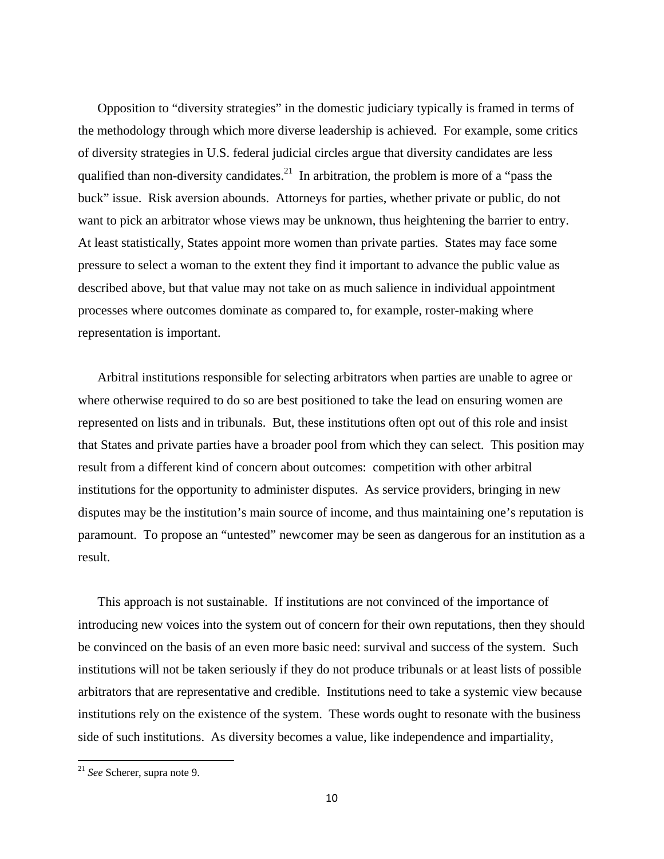Opposition to "diversity strategies" in the domestic judiciary typically is framed in terms of the methodology through which more diverse leadership is achieved. For example, some critics of diversity strategies in U.S. federal judicial circles argue that diversity candidates are less qualified than non-diversity candidates.<sup>21</sup> In arbitration, the problem is more of a "pass the buck" issue. Risk aversion abounds. Attorneys for parties, whether private or public, do not want to pick an arbitrator whose views may be unknown, thus heightening the barrier to entry. At least statistically, States appoint more women than private parties. States may face some pressure to select a woman to the extent they find it important to advance the public value as described above, but that value may not take on as much salience in individual appointment processes where outcomes dominate as compared to, for example, roster-making where representation is important.

Arbitral institutions responsible for selecting arbitrators when parties are unable to agree or where otherwise required to do so are best positioned to take the lead on ensuring women are represented on lists and in tribunals. But, these institutions often opt out of this role and insist that States and private parties have a broader pool from which they can select. This position may result from a different kind of concern about outcomes: competition with other arbitral institutions for the opportunity to administer disputes. As service providers, bringing in new disputes may be the institution's main source of income, and thus maintaining one's reputation is paramount. To propose an "untested" newcomer may be seen as dangerous for an institution as a result.

This approach is not sustainable. If institutions are not convinced of the importance of introducing new voices into the system out of concern for their own reputations, then they should be convinced on the basis of an even more basic need: survival and success of the system. Such institutions will not be taken seriously if they do not produce tribunals or at least lists of possible arbitrators that are representative and credible. Institutions need to take a systemic view because institutions rely on the existence of the system. These words ought to resonate with the business side of such institutions. As diversity becomes a value, like independence and impartiality,

<sup>21</sup> *See* Scherer, supra note 9.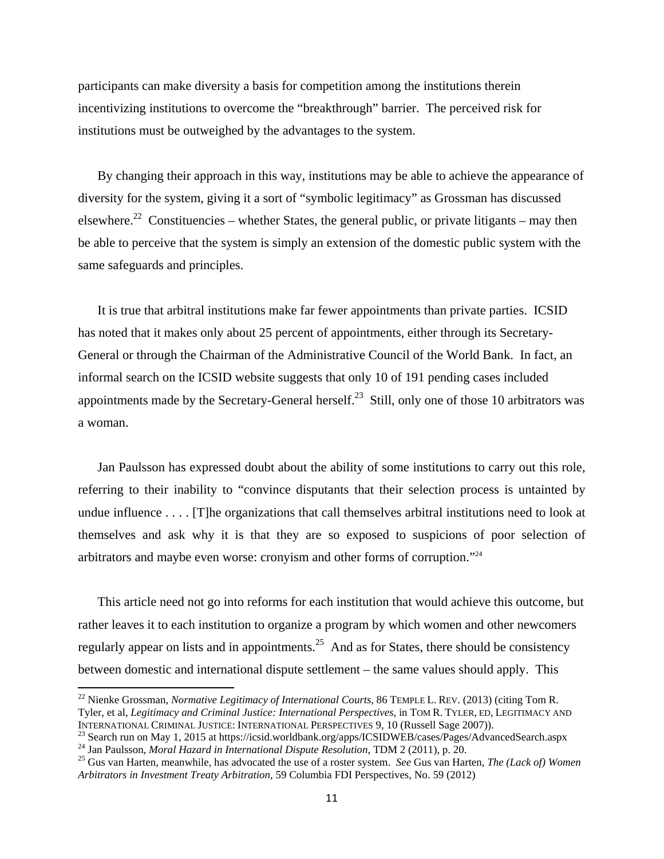participants can make diversity a basis for competition among the institutions therein incentivizing institutions to overcome the "breakthrough" barrier. The perceived risk for institutions must be outweighed by the advantages to the system.

By changing their approach in this way, institutions may be able to achieve the appearance of diversity for the system, giving it a sort of "symbolic legitimacy" as Grossman has discussed elsewhere.<sup>22</sup> Constituencies – whether States, the general public, or private litigants – may then be able to perceive that the system is simply an extension of the domestic public system with the same safeguards and principles.

It is true that arbitral institutions make far fewer appointments than private parties. ICSID has noted that it makes only about 25 percent of appointments, either through its Secretary-General or through the Chairman of the Administrative Council of the World Bank. In fact, an informal search on the ICSID website suggests that only 10 of 191 pending cases included appointments made by the Secretary-General herself.<sup>23</sup> Still, only one of those 10 arbitrators was a woman.

Jan Paulsson has expressed doubt about the ability of some institutions to carry out this role, referring to their inability to "convince disputants that their selection process is untainted by undue influence . . . . [T]he organizations that call themselves arbitral institutions need to look at themselves and ask why it is that they are so exposed to suspicions of poor selection of arbitrators and maybe even worse: cronyism and other forms of corruption."24

This article need not go into reforms for each institution that would achieve this outcome, but rather leaves it to each institution to organize a program by which women and other newcomers regularly appear on lists and in appointments.<sup>25</sup> And as for States, there should be consistency between domestic and international dispute settlement – the same values should apply. This

<sup>22</sup> Nienke Grossman, *Normative Legitimacy of International Courts*, 86 TEMPLE L. REV. (2013) (citing Tom R. Tyler, et al, *Legitimacy and Criminal Justice: International Perspectives*, in TOM R. TYLER, ED, LEGITIMACY AND INTERNATIONAL CRIMINAL JUSTICE: INTERNATIONAL PERSPECTIVES 9, 10 (Russell Sage 2007)).<br><sup>23</sup> Search run on May 1, 2015 at https://icsid.worldbank.org/apps/ICSIDWEB/cases/Pages/AdvancedSearch.aspx<br><sup>24</sup> Jan Paulsson, *Moral H* 

*Arbitrators in Investment Treaty Arbitration*, 59 Columbia FDI Perspectives, No. 59 (2012)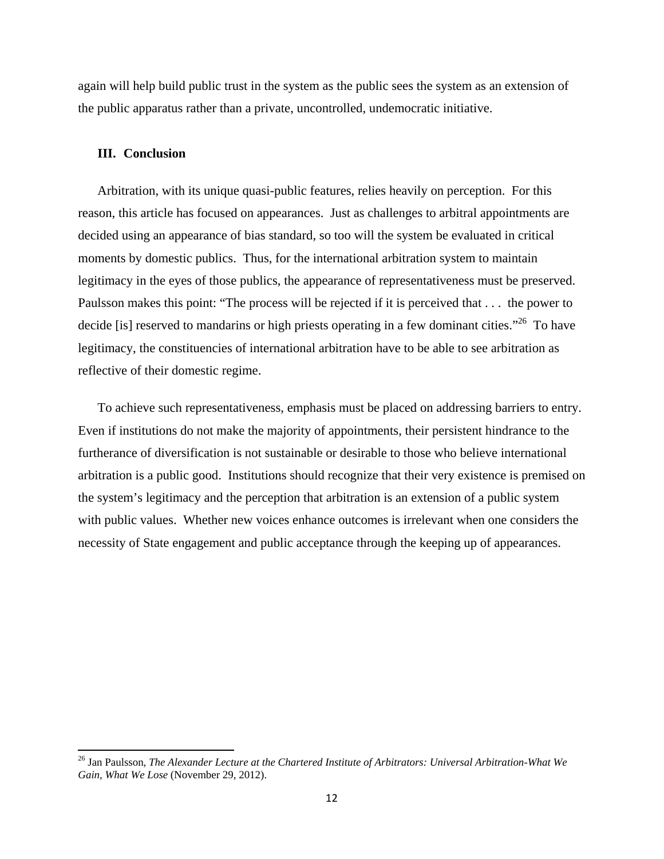again will help build public trust in the system as the public sees the system as an extension of the public apparatus rather than a private, uncontrolled, undemocratic initiative.

## **III. Conclusion**

Arbitration, with its unique quasi-public features, relies heavily on perception. For this reason, this article has focused on appearances. Just as challenges to arbitral appointments are decided using an appearance of bias standard, so too will the system be evaluated in critical moments by domestic publics. Thus, for the international arbitration system to maintain legitimacy in the eyes of those publics, the appearance of representativeness must be preserved. Paulsson makes this point: "The process will be rejected if it is perceived that . . . the power to decide [is] reserved to mandarins or high priests operating in a few dominant cities."<sup>26</sup> To have legitimacy, the constituencies of international arbitration have to be able to see arbitration as reflective of their domestic regime.

To achieve such representativeness, emphasis must be placed on addressing barriers to entry. Even if institutions do not make the majority of appointments, their persistent hindrance to the furtherance of diversification is not sustainable or desirable to those who believe international arbitration is a public good. Institutions should recognize that their very existence is premised on the system's legitimacy and the perception that arbitration is an extension of a public system with public values. Whether new voices enhance outcomes is irrelevant when one considers the necessity of State engagement and public acceptance through the keeping up of appearances.

<sup>26</sup> Jan Paulsson, *The Alexander Lecture at the Chartered Institute of Arbitrators: Universal Arbitration-What We Gain, What We Lose* (November 29, 2012).